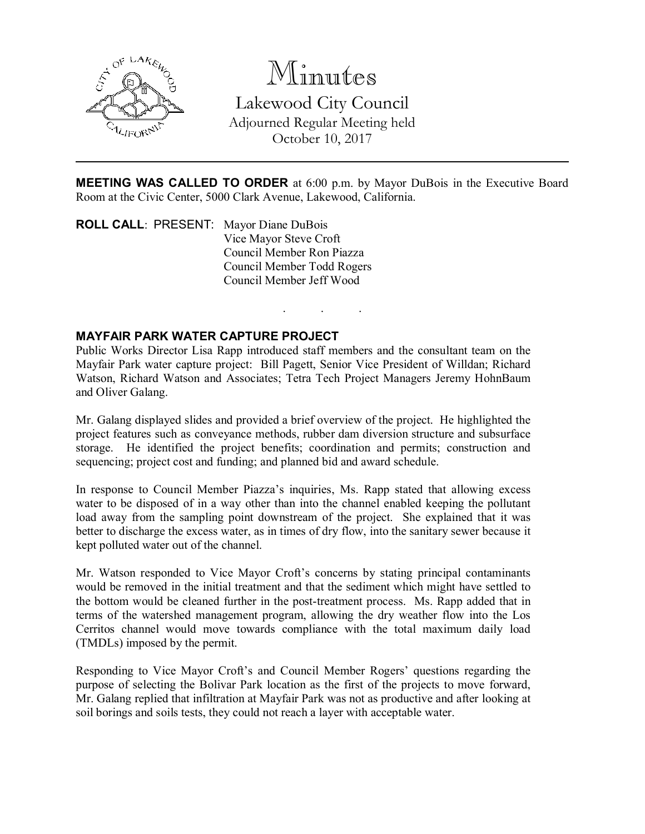

# Minutes

Lakewood City Council Adjourned Regular Meeting held October 10, 2017

MEETING WAS CALLED TO ORDER at 6:00 p.m. by Mayor DuBois in the Executive Board Room at the Civic Center, 5000 Clark Avenue, Lakewood, California.

. . .

ROLL CALL: PRESENT: Mayor Diane DuBois Vice Mayor Steve Croft Council Member Ron Piazza Council Member Todd Rogers Council Member Jeff Wood

#### MAYFAIR PARK WATER CAPTURE PROJECT

Public Works Director Lisa Rapp introduced staff members and the consultant team on the Mayfair Park water capture project: Bill Pagett, Senior Vice President of Willdan; Richard Watson, Richard Watson and Associates; Tetra Tech Project Managers Jeremy HohnBaum and Oliver Galang.

Mr. Galang displayed slides and provided a brief overview of the project. He highlighted the project features such as conveyance methods, rubber dam diversion structure and subsurface storage. He identified the project benefits; coordination and permits; construction and sequencing; project cost and funding; and planned bid and award schedule.

In response to Council Member Piazza's inquiries, Ms. Rapp stated that allowing excess water to be disposed of in a way other than into the channel enabled keeping the pollutant load away from the sampling point downstream of the project. She explained that it was better to discharge the excess water, as in times of dry flow, into the sanitary sewer because it kept polluted water out of the channel.

Mr. Watson responded to Vice Mayor Croft's concerns by stating principal contaminants would be removed in the initial treatment and that the sediment which might have settled to the bottom would be cleaned further in the post-treatment process. Ms. Rapp added that in terms of the watershed management program, allowing the dry weather flow into the Los Cerritos channel would move towards compliance with the total maximum daily load (TMDLs) imposed by the permit.

Responding to Vice Mayor Croft's and Council Member Rogers' questions regarding the purpose of selecting the Bolivar Park location as the first of the projects to move forward, Mr. Galang replied that infiltration at Mayfair Park was not as productive and after looking at soil borings and soils tests, they could not reach a layer with acceptable water.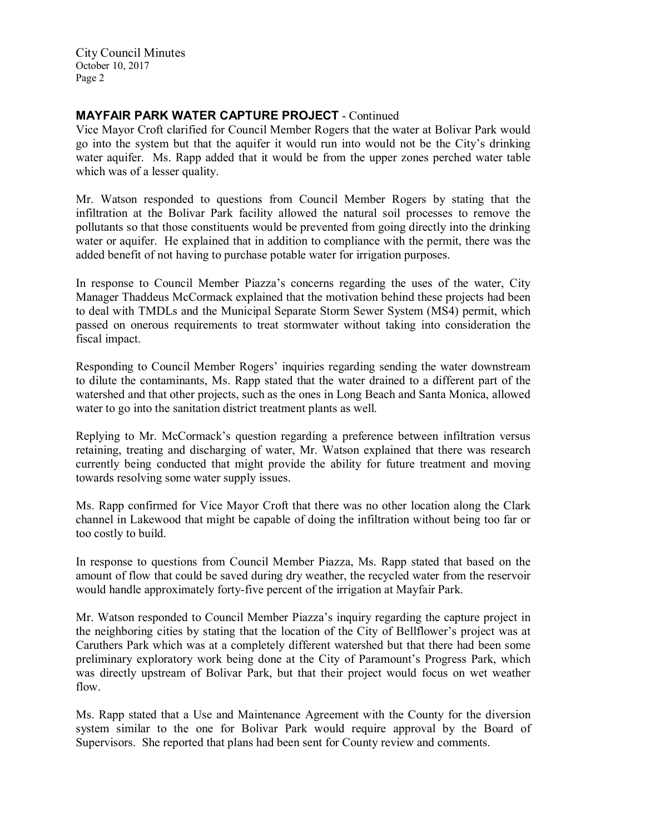City Council Minutes October 10, 2017 Page 2

# MAYFAIR PARK WATER CAPTURE PROJECT - Continued

Vice Mayor Croft clarified for Council Member Rogers that the water at Bolivar Park would go into the system but that the aquifer it would run into would not be the City's drinking water aquifer. Ms. Rapp added that it would be from the upper zones perched water table which was of a lesser quality.

Mr. Watson responded to questions from Council Member Rogers by stating that the infiltration at the Bolivar Park facility allowed the natural soil processes to remove the pollutants so that those constituents would be prevented from going directly into the drinking water or aquifer. He explained that in addition to compliance with the permit, there was the added benefit of not having to purchase potable water for irrigation purposes.

In response to Council Member Piazza's concerns regarding the uses of the water, City Manager Thaddeus McCormack explained that the motivation behind these projects had been to deal with TMDLs and the Municipal Separate Storm Sewer System (MS4) permit, which passed on onerous requirements to treat stormwater without taking into consideration the fiscal impact.

Responding to Council Member Rogers' inquiries regarding sending the water downstream to dilute the contaminants, Ms. Rapp stated that the water drained to a different part of the watershed and that other projects, such as the ones in Long Beach and Santa Monica, allowed water to go into the sanitation district treatment plants as well.

Replying to Mr. McCormack's question regarding a preference between infiltration versus retaining, treating and discharging of water, Mr. Watson explained that there was research currently being conducted that might provide the ability for future treatment and moving towards resolving some water supply issues.

Ms. Rapp confirmed for Vice Mayor Croft that there was no other location along the Clark channel in Lakewood that might be capable of doing the infiltration without being too far or too costly to build.

In response to questions from Council Member Piazza, Ms. Rapp stated that based on the amount of flow that could be saved during dry weather, the recycled water from the reservoir would handle approximately forty-five percent of the irrigation at Mayfair Park.

Mr. Watson responded to Council Member Piazza's inquiry regarding the capture project in the neighboring cities by stating that the location of the City of Bellflower's project was at Caruthers Park which was at a completely different watershed but that there had been some preliminary exploratory work being done at the City of Paramount's Progress Park, which was directly upstream of Bolivar Park, but that their project would focus on wet weather flow.

Ms. Rapp stated that a Use and Maintenance Agreement with the County for the diversion system similar to the one for Bolivar Park would require approval by the Board of Supervisors. She reported that plans had been sent for County review and comments.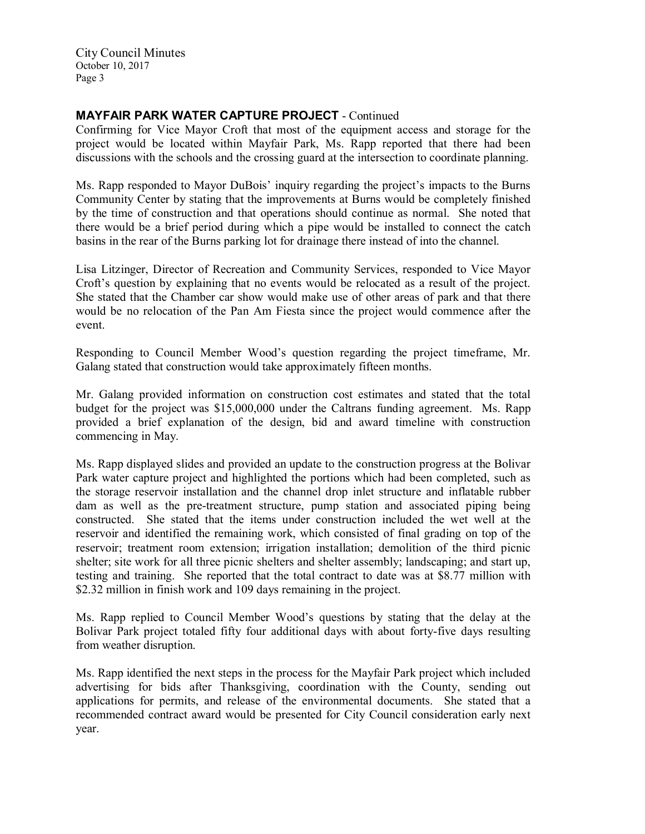City Council Minutes October 10, 2017 Page 3

## MAYFAIR PARK WATER CAPTURE PROJECT - Continued

Confirming for Vice Mayor Croft that most of the equipment access and storage for the project would be located within Mayfair Park, Ms. Rapp reported that there had been discussions with the schools and the crossing guard at the intersection to coordinate planning.

Ms. Rapp responded to Mayor DuBois' inquiry regarding the project's impacts to the Burns Community Center by stating that the improvements at Burns would be completely finished by the time of construction and that operations should continue as normal. She noted that there would be a brief period during which a pipe would be installed to connect the catch basins in the rear of the Burns parking lot for drainage there instead of into the channel.

Lisa Litzinger, Director of Recreation and Community Services, responded to Vice Mayor Croft's question by explaining that no events would be relocated as a result of the project. She stated that the Chamber car show would make use of other areas of park and that there would be no relocation of the Pan Am Fiesta since the project would commence after the event.

Responding to Council Member Wood's question regarding the project timeframe, Mr. Galang stated that construction would take approximately fifteen months.

Mr. Galang provided information on construction cost estimates and stated that the total budget for the project was \$15,000,000 under the Caltrans funding agreement. Ms. Rapp provided a brief explanation of the design, bid and award timeline with construction commencing in May.

Ms. Rapp displayed slides and provided an update to the construction progress at the Bolivar Park water capture project and highlighted the portions which had been completed, such as the storage reservoir installation and the channel drop inlet structure and inflatable rubber dam as well as the pre-treatment structure, pump station and associated piping being constructed. She stated that the items under construction included the wet well at the reservoir and identified the remaining work, which consisted of final grading on top of the reservoir; treatment room extension; irrigation installation; demolition of the third picnic shelter; site work for all three picnic shelters and shelter assembly; landscaping; and start up, testing and training. She reported that the total contract to date was at \$8.77 million with \$2.32 million in finish work and 109 days remaining in the project.

Ms. Rapp replied to Council Member Wood's questions by stating that the delay at the Bolivar Park project totaled fifty four additional days with about forty-five days resulting from weather disruption.

Ms. Rapp identified the next steps in the process for the Mayfair Park project which included advertising for bids after Thanksgiving, coordination with the County, sending out applications for permits, and release of the environmental documents. She stated that a recommended contract award would be presented for City Council consideration early next year.